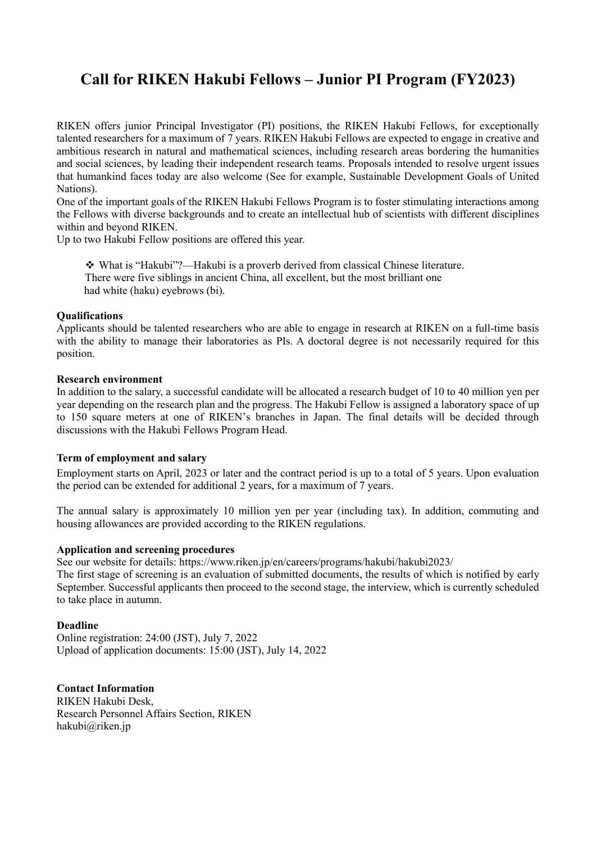# **Call for RIKEN Hakubi Fellows – Junior PI Program (FY2023)**

RIKEN offers junior Principal Investigator (PI) positions, the RIKEN Hakubi Fellows, for exceptionally talented researchers for a maximum of 7 years. RIKEN Hakubi Fellows are expected to engage in creative and ambitious research in natural and mathematical sciences, including research areas bordering the humanities and social sciences, by leading their independent research teams. Proposals intended to resolve urgent issues that humankind faces today are also welcome (See for example, Sustainable Development Goals of United Nations).

One of the important goals of the RIKEN Hakubi Fellows Program is to foster stimulating interactions among the Fellows with diverse backgrounds and to create an intellectual hub of scientists with different disciplines within and beyond RIKEN.

Up to two Hakubi Fellow positions are offered this year.

 What is "Hakubi"?—Hakubi is a proverb derived from classical Chinese literature. There were five siblings in ancient China, all excellent, but the most brilliant one had white (haku) eyebrows (bi).

### **Qualifications**

Applicants should be talented researchers who are able to engage in research at RIKEN on a full-time basis with the ability to manage their laboratories as PIs. A doctoral degree is not necessarily required for this position.

### **Research environment**

In addition to the salary, a successful candidate will be allocated a research budget of 10 to 40 million yen per year depending on the research plan and the progress. The Hakubi Fellow is assigned a laboratory space of up to 150 square meters at one of RIKEN's branches in Japan. The final details will be decided through discussions with the Hakubi Fellows Program Head.

### **Term of employment and salary**

Employment starts on April, 2023 or later and the contract period is up to a total of 5 years. Upon evaluation the period can be extended for additional 2 years, for a maximum of 7 years.

The annual salary is approximately 10 million yen per year (including tax). In addition, commuting and housing allowances are provided according to the RIKEN regulations.

### **Application and screening procedures**

See our website for details: https://www.riken.jp/en/careers/programs/hakubi/hakubi2023/

The first stage of screening is an evaluation of submitted documents, the results of which is notified by early September. Successful applicants then proceed to the second stage, the interview, which is currently scheduled to take place in autumn.

### **Deadline**

Online registration: 24:00 (JST), July 7, 2022 Upload of application documents: 15:00 (JST), July 14, 2022

## **Contact Information**

RIKEN Hakubi Desk, Research Personnel Affairs Section, RIKEN [hakubi@riken.jp](mailto:hakubi@riken.jp)